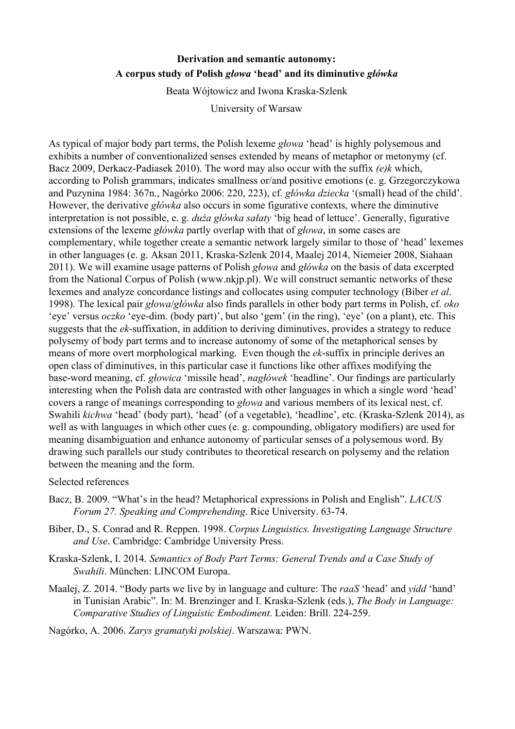## **Derivation and semantic autonomy: A corpus study of Polish** *głowa*  **'head' and its diminutive** *główka*

Beata Wójtowicz and Iwona Kraska-Szlenk

University of Warsaw

As typical of major body part terms, the Polish lexeme *głowa* 'head' is highly polysemous and exhibits a number of conventionalized senses extended by means of metaphor or metonymy (cf. Bacz 2009, Derkacz-Padiasek 2010). The word may also occur with the suffix *(e)k* which, according to Polish grammars, indicates smallness or/and positive emotions (e. g. Grzegorczykowa and Puzynina 1984: 367n., Nagórko 2006: 220, 223), cf. *główka dziecka* '(small) head of the child'. However, the derivative *główka* also occurs in some figurative contexts, where the diminutive interpretation is not possible, e. g. *duża główka sałaty* 'big head of lettuce'. Generally, figurative extensions of the lexeme *główka* partly overlap with that of *głowa*, in some cases are complementary, while together create a semantic network largely similar to those of 'head' lexemes in other languages (e. g. Aksan 2011, Kraska-Szlenk 2014, Maalej 2014, Niemeier 2008, Siahaan 2011). We will examine usage patterns of Polish *głowa* and *główka* on the basis of data excerpted from the National Corpus of Polish [\(www.nkjp.pl\)](http://www.nkjp.pl/). We will construct semantic networks of these lexemes and analyze concordance listings and collocates using computer technology (Biber *et al*. 1998). The lexical pair *głowa*/*główka* also finds parallels in other body part terms in Polish, cf. *oko* 'eye' versus *oczko* 'eye-dim. (body part)', but also 'gem' (in the ring), 'eye' (on a plant), etc. This suggests that the *ek*-suffixation, in addition to deriving diminutives, provides a strategy to reduce polysemy of body part terms and to increase autonomy of some of the metaphorical senses by means of more overt morphological marking. Even though the *ek*-suffix in principle derives an open class of diminutives, in this particular case it functions like other affixes modifying the baseword meaning, cf. *głowica* 'missile head', *nagłówek* 'headline'. Our findings are particularly interesting when the Polish data are contrasted with other languages in which a single word 'head' covers a range of meanings corresponding to *głowa* and various members of its lexical nest, cf. Swahili *kichwa* 'head' (body part), 'head' (of a vegetable), 'headline', etc. (Kraska-Szlenk 2014), as well as with languages in which other cues (e. g. compounding, obligatory modifiers) are used for meaning disambiguation and enhance autonomy of particular senses of a polysemous word. By drawing such parallels our study contributes to theoretical research on polysemy and the relation between the meaning and the form.

## Selected references

- Bacz, B. 2009. "What's in the head? Metaphorical expressions in Polish and English". *LACUS Forum 27. Speaking and Comprehending. Rice University. 63-74.*
- Biber, D., S. Conrad and R. Reppen. 1998. *Corpus Linguistics. Investigating Language Structure and Use*. Cambridge: Cambridge University Press.
- Kraska-Szlenk, I. 2014. *Semantics of Body Part Terms: General Trends and a Case Study of Swahili*. München: LINCOM Europa.
- Maalej, Z. 2014. "Body parts we live by in language and culture: The *raaS* 'head' and *yidd* 'hand' in Tunisian Arabic". In: M. Brenzinger and I. Kraska-Szlenk (eds.), *The Body in Language: Comparative Studies of Linguistic Embodiment. Leiden: Brill. 224-259.*

Nagórko, A. 2006. *Zarys gramatyki polskiej*. Warszawa: PWN.